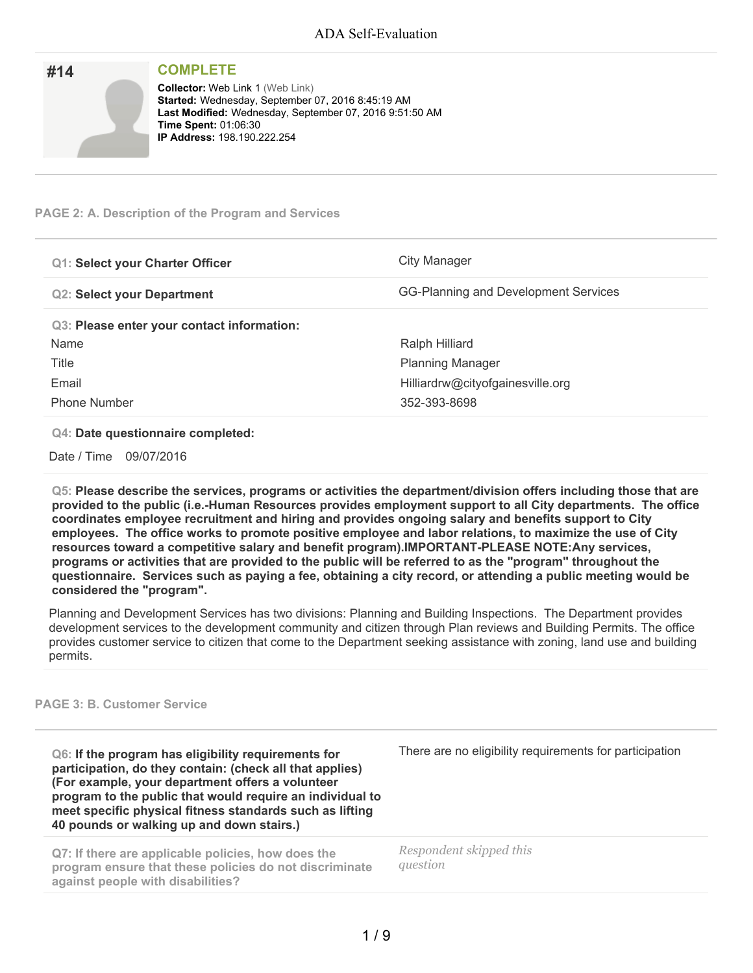| #14 | <b>COMPLETE</b>                                                                                                                                                                                                              |
|-----|------------------------------------------------------------------------------------------------------------------------------------------------------------------------------------------------------------------------------|
|     | <b>Collector: Web Link 1 (Web Link)</b><br>Started: Wednesday, September 07, 2016 8:45:19 AM<br>Last Modified: Wednesday, September 07, 2016 9:51:50 AM<br><b>Time Spent: 01:06:30</b><br><b>IP Address: 198.190.222.254</b> |

#### **PAGE 2: A. Description of the Program and Services**

| <b>Q1: Select your Charter Officer</b>     | City Manager                         |  |
|--------------------------------------------|--------------------------------------|--|
| <b>Q2: Select your Department</b>          | GG-Planning and Development Services |  |
| Q3: Please enter your contact information: |                                      |  |
| Name                                       | Ralph Hilliard                       |  |
| Title                                      | <b>Planning Manager</b>              |  |
| Email                                      | Hilliardrw@cityofgainesville.org     |  |
| <b>Phone Number</b>                        | 352-393-8698                         |  |

#### **Q4: Date questionnaire completed:**

Date / Time 09/07/2016

**Q5: Please describe the services, programs or activities the department/division offers including those that are provided to the public (i.e.-Human Resources provides employment support to all City departments. The office coordinates employee recruitment and hiring and provides ongoing salary and benefits support to City employees. The office works to promote positive employee and labor relations, to maximize the use of City resources toward a competitive salary and benefit program).IMPORTANT-PLEASE NOTE:Any services,** programs or activities that are provided to the public will be referred to as the "program" throughout the questionnaire. Services such as paying a fee, obtaining a city record, or attending a public meeting would be **considered the "program".**

Planning and Development Services has two divisions: Planning and Building Inspections. The Department provides development services to the development community and citizen through Plan reviews and Building Permits. The office provides customer service to citizen that come to the Department seeking assistance with zoning, land use and building permits.

#### **PAGE 3: B. Customer Service**

**Q6: If the program has eligibility requirements for participation, do they contain: (check all that applies) (For example, your department offers a volunteer program to the public that would require an individual to meet specific physical fitness standards such as lifting 40 pounds or walking up and down stairs.)**

**Q7: If there are applicable policies, how does the program ensure that these policies do not discriminate against people with disabilities?**

There are no eligibility requirements for participation

*Respondent skipped this question*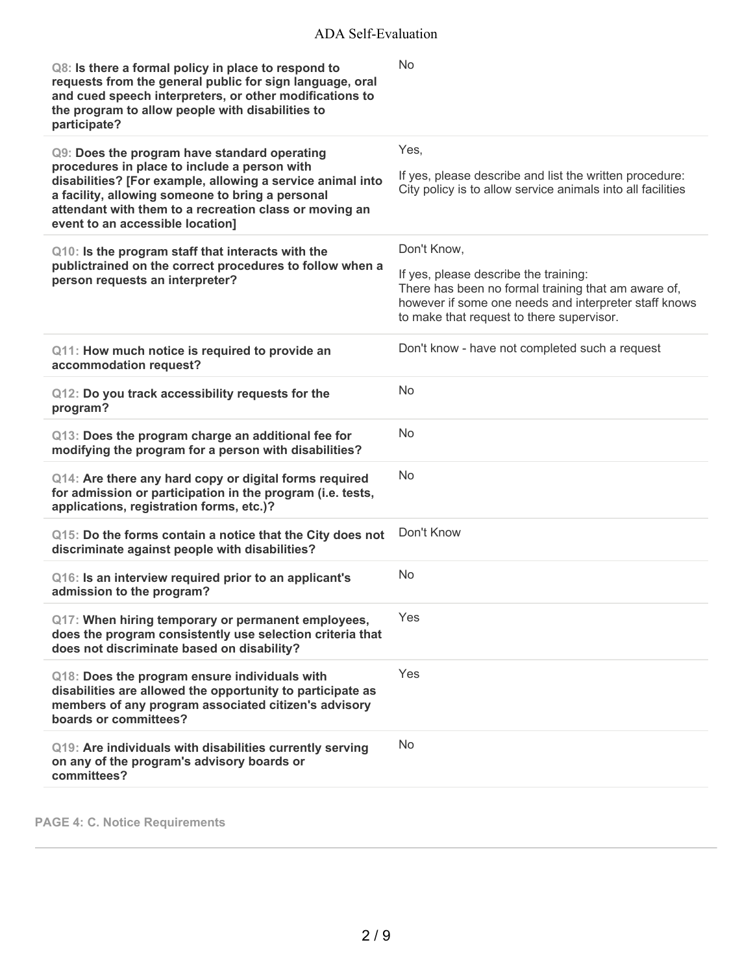| Q8: Is there a formal policy in place to respond to<br>requests from the general public for sign language, oral<br>and cued speech interpreters, or other modifications to<br>the program to allow people with disabilities to<br>participate?                                                               | <b>No</b>                                                                                                                                                                                                         |
|--------------------------------------------------------------------------------------------------------------------------------------------------------------------------------------------------------------------------------------------------------------------------------------------------------------|-------------------------------------------------------------------------------------------------------------------------------------------------------------------------------------------------------------------|
| Q9: Does the program have standard operating<br>procedures in place to include a person with<br>disabilities? [For example, allowing a service animal into<br>a facility, allowing someone to bring a personal<br>attendant with them to a recreation class or moving an<br>event to an accessible location] | Yes,<br>If yes, please describe and list the written procedure:<br>City policy is to allow service animals into all facilities                                                                                    |
| Q10: Is the program staff that interacts with the<br>publictrained on the correct procedures to follow when a<br>person requests an interpreter?                                                                                                                                                             | Don't Know,<br>If yes, please describe the training:<br>There has been no formal training that am aware of,<br>however if some one needs and interpreter staff knows<br>to make that request to there supervisor. |
| Q11: How much notice is required to provide an<br>accommodation request?                                                                                                                                                                                                                                     | Don't know - have not completed such a request                                                                                                                                                                    |
| Q12: Do you track accessibility requests for the<br>program?                                                                                                                                                                                                                                                 | <b>No</b>                                                                                                                                                                                                         |
| Q13: Does the program charge an additional fee for<br>modifying the program for a person with disabilities?                                                                                                                                                                                                  | <b>No</b>                                                                                                                                                                                                         |
| Q14: Are there any hard copy or digital forms required<br>for admission or participation in the program (i.e. tests,<br>applications, registration forms, etc.)?                                                                                                                                             | No.                                                                                                                                                                                                               |
| Q15: Do the forms contain a notice that the City does not<br>discriminate against people with disabilities?                                                                                                                                                                                                  | Don't Know                                                                                                                                                                                                        |
| Q16: Is an interview required prior to an applicant's<br>admission to the program?                                                                                                                                                                                                                           | No                                                                                                                                                                                                                |
| Q17: When hiring temporary or permanent employees,<br>does the program consistently use selection criteria that<br>does not discriminate based on disability?                                                                                                                                                | Yes                                                                                                                                                                                                               |
| Q18: Does the program ensure individuals with<br>disabilities are allowed the opportunity to participate as<br>members of any program associated citizen's advisory<br>boards or committees?                                                                                                                 | Yes                                                                                                                                                                                                               |
| Q19: Are individuals with disabilities currently serving<br>on any of the program's advisory boards or<br>committees?                                                                                                                                                                                        | <b>No</b>                                                                                                                                                                                                         |

**PAGE 4: C. Notice Requirements**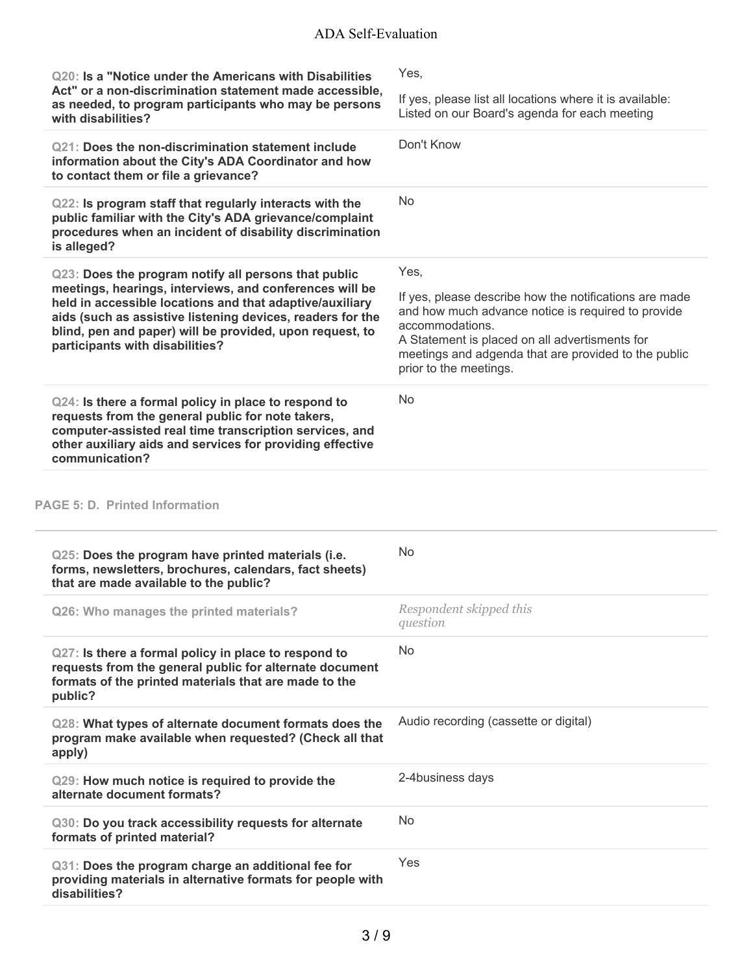| Q20: Is a "Notice under the Americans with Disabilities                                                                                                                                                                                                                          | Yes.                                                                                                                                                                                                                                                                |
|----------------------------------------------------------------------------------------------------------------------------------------------------------------------------------------------------------------------------------------------------------------------------------|---------------------------------------------------------------------------------------------------------------------------------------------------------------------------------------------------------------------------------------------------------------------|
| Act" or a non-discrimination statement made accessible,<br>as needed, to program participants who may be persons<br>with disabilities?                                                                                                                                           | If yes, please list all locations where it is available:<br>Listed on our Board's agenda for each meeting                                                                                                                                                           |
| Q21: Does the non-discrimination statement include<br>information about the City's ADA Coordinator and how<br>to contact them or file a grievance?                                                                                                                               | Don't Know                                                                                                                                                                                                                                                          |
| Q22: Is program staff that regularly interacts with the<br>public familiar with the City's ADA grievance/complaint<br>procedures when an incident of disability discrimination<br>is alleged?                                                                                    | No                                                                                                                                                                                                                                                                  |
| Q23: Does the program notify all persons that public                                                                                                                                                                                                                             | Yes,                                                                                                                                                                                                                                                                |
| meetings, hearings, interviews, and conferences will be<br>held in accessible locations and that adaptive/auxiliary<br>aids (such as assistive listening devices, readers for the<br>blind, pen and paper) will be provided, upon request, to<br>participants with disabilities? | If yes, please describe how the notifications are made<br>and how much advance notice is required to provide<br>accommodations.<br>A Statement is placed on all advertisments for<br>meetings and adgenda that are provided to the public<br>prior to the meetings. |
| Q24: Is there a formal policy in place to respond to<br>requests from the general public for note takers,<br>computer-assisted real time transcription services, and<br>other auxiliary aids and services for providing effective<br>communication?                              | <b>No</b>                                                                                                                                                                                                                                                           |

### **PAGE 5: D. Printed Information**

i.

| Q25: Does the program have printed materials (i.e.<br>forms, newsletters, brochures, calendars, fact sheets)<br>that are made available to the public?                              | No                                    |
|-------------------------------------------------------------------------------------------------------------------------------------------------------------------------------------|---------------------------------------|
| Q26: Who manages the printed materials?                                                                                                                                             | Respondent skipped this<br>question   |
| Q27: Is there a formal policy in place to respond to<br>requests from the general public for alternate document<br>formats of the printed materials that are made to the<br>public? | No                                    |
| Q28: What types of alternate document formats does the<br>program make available when requested? (Check all that<br>apply)                                                          | Audio recording (cassette or digital) |
| Q29: How much notice is required to provide the<br>alternate document formats?                                                                                                      | 2-4business days                      |
| Q30: Do you track accessibility requests for alternate<br>formats of printed material?                                                                                              | <b>No</b>                             |
| Q31: Does the program charge an additional fee for<br>providing materials in alternative formats for people with<br>disabilities?                                                   | Yes                                   |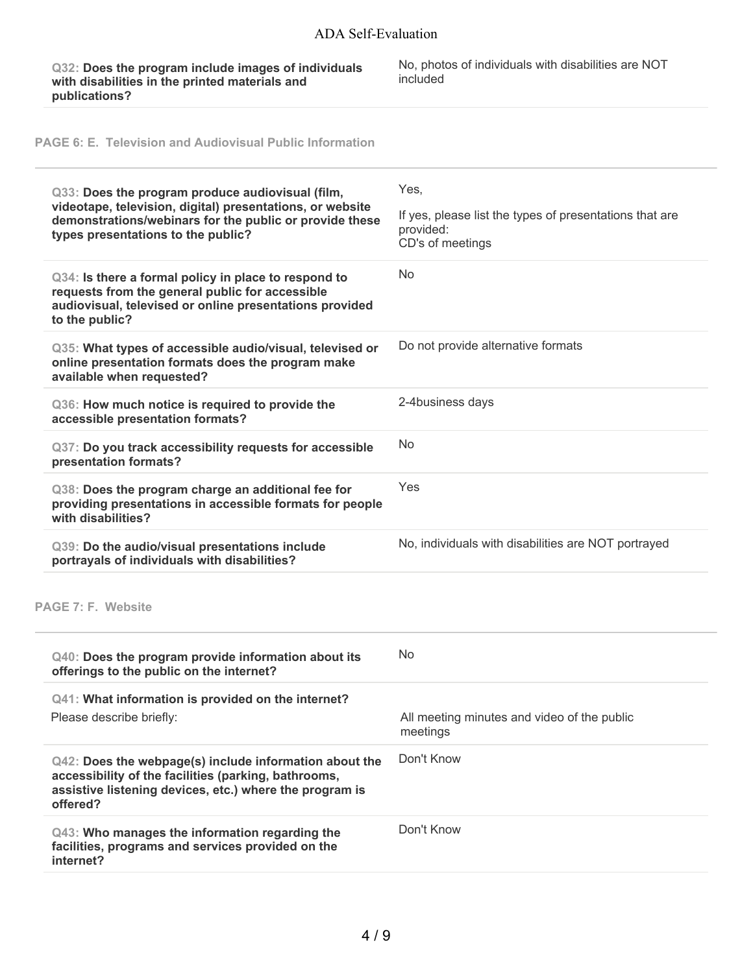**Q32: Does the program include images of individuals with disabilities in the printed materials and publications?**

No, photos of individuals with disabilities are NOT included

**PAGE 6: E. Television and Audiovisual Public Information**

L

| Q33: Does the program produce audiovisual (film,<br>videotape, television, digital) presentations, or website<br>demonstrations/webinars for the public or provide these<br>types presentations to the public? | Yes,<br>If yes, please list the types of presentations that are<br>provided:<br>CD's of meetings |
|----------------------------------------------------------------------------------------------------------------------------------------------------------------------------------------------------------------|--------------------------------------------------------------------------------------------------|
| Q34: Is there a formal policy in place to respond to<br>requests from the general public for accessible<br>audiovisual, televised or online presentations provided<br>to the public?                           | <b>No</b>                                                                                        |
| Q35: What types of accessible audio/visual, televised or<br>online presentation formats does the program make<br>available when requested?                                                                     | Do not provide alternative formats                                                               |
| Q36: How much notice is required to provide the<br>accessible presentation formats?                                                                                                                            | 2-4business days                                                                                 |
| Q37: Do you track accessibility requests for accessible<br>presentation formats?                                                                                                                               | <b>No</b>                                                                                        |
| Q38: Does the program charge an additional fee for<br>providing presentations in accessible formats for people<br>with disabilities?                                                                           | Yes                                                                                              |
| Q39: Do the audio/visual presentations include<br>portrayals of individuals with disabilities?                                                                                                                 | No, individuals with disabilities are NOT portrayed                                              |
| <b>PAGE 7: F. Website</b>                                                                                                                                                                                      |                                                                                                  |
| Q40: Does the program provide information about its<br>offerings to the public on the internet?                                                                                                                | <b>No</b>                                                                                        |
| Q41: What information is provided on the internet?<br>Please describe briefly:                                                                                                                                 | All meeting minutes and video of the public<br>meetings                                          |
| Q42: Does the webpage(s) include information about the<br>accessibility of the facilities (parking, bathrooms,<br>assistive listening devices, etc.) where the program is<br>offered?                          | Don't Know                                                                                       |
| Q43: Who manages the information regarding the<br>facilities, programs and services provided on the<br>internet?                                                                                               | Don't Know                                                                                       |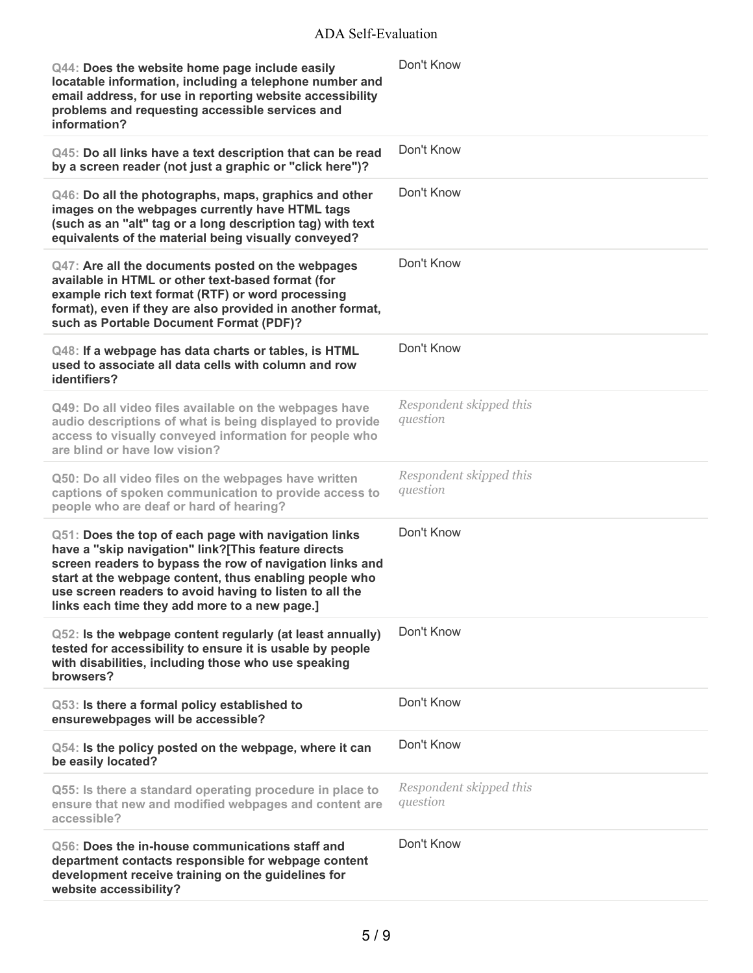## ADA Self-Evaluation

| Q44: Does the website home page include easily<br>locatable information, including a telephone number and<br>email address, for use in reporting website accessibility<br>problems and requesting accessible services and<br>information?                                                                                                     | Don't Know                          |
|-----------------------------------------------------------------------------------------------------------------------------------------------------------------------------------------------------------------------------------------------------------------------------------------------------------------------------------------------|-------------------------------------|
| Q45: Do all links have a text description that can be read<br>by a screen reader (not just a graphic or "click here")?                                                                                                                                                                                                                        | Don't Know                          |
| Q46: Do all the photographs, maps, graphics and other<br>images on the webpages currently have HTML tags<br>(such as an "alt" tag or a long description tag) with text<br>equivalents of the material being visually conveyed?                                                                                                                | Don't Know                          |
| Q47: Are all the documents posted on the webpages<br>available in HTML or other text-based format (for<br>example rich text format (RTF) or word processing<br>format), even if they are also provided in another format,<br>such as Portable Document Format (PDF)?                                                                          | Don't Know                          |
| Q48: If a webpage has data charts or tables, is HTML<br>used to associate all data cells with column and row<br>identifiers?                                                                                                                                                                                                                  | Don't Know                          |
| Q49: Do all video files available on the webpages have<br>audio descriptions of what is being displayed to provide<br>access to visually conveyed information for people who<br>are blind or have low vision?                                                                                                                                 | Respondent skipped this<br>question |
| Q50: Do all video files on the webpages have written<br>captions of spoken communication to provide access to<br>people who are deaf or hard of hearing?                                                                                                                                                                                      | Respondent skipped this<br>question |
| Q51: Does the top of each page with navigation links<br>have a "skip navigation" link?[This feature directs<br>screen readers to bypass the row of navigation links and<br>start at the webpage content, thus enabling people who<br>use screen readers to avoid having to listen to all the<br>links each time they add more to a new page.] | Don't Know                          |
| Q52: Is the webpage content regularly (at least annually)<br>tested for accessibility to ensure it is usable by people<br>with disabilities, including those who use speaking<br>browsers?                                                                                                                                                    | Don't Know                          |
| Q53: Is there a formal policy established to<br>ensurewebpages will be accessible?                                                                                                                                                                                                                                                            | Don't Know                          |
| Q54: Is the policy posted on the webpage, where it can<br>be easily located?                                                                                                                                                                                                                                                                  | Don't Know                          |
| Q55: Is there a standard operating procedure in place to<br>ensure that new and modified webpages and content are<br>accessible?                                                                                                                                                                                                              | Respondent skipped this<br>question |
| Q56: Does the in-house communications staff and<br>department contacts responsible for webpage content<br>development receive training on the guidelines for<br>website accessibility?                                                                                                                                                        | Don't Know                          |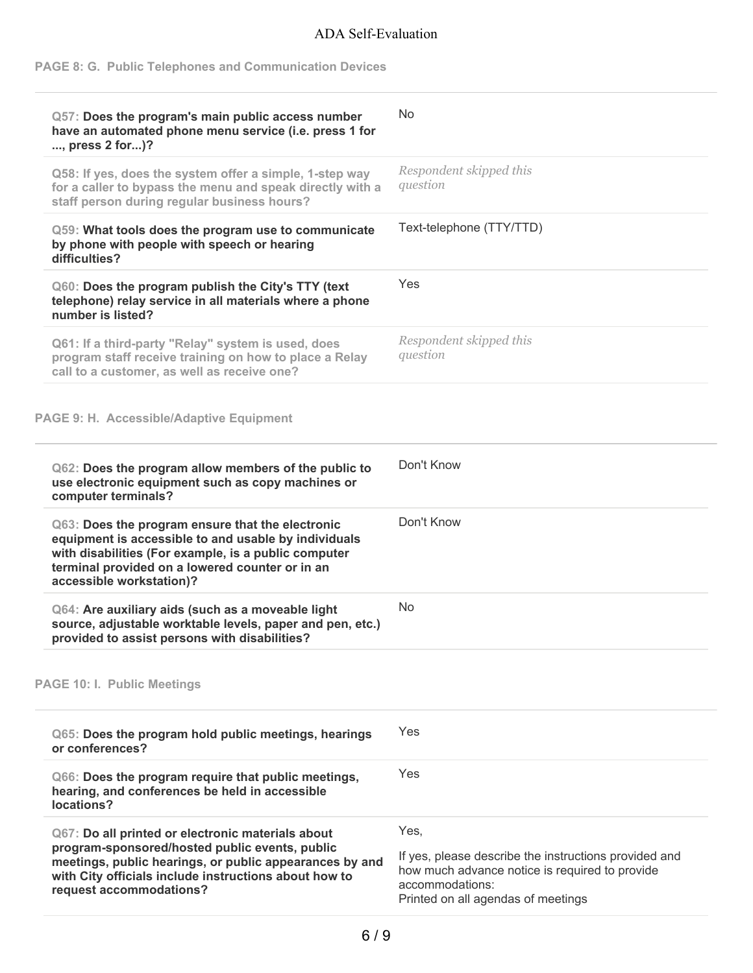# ADA Self-Evaluation

## **PAGE 8: G. Public Telephones and Communication Devices**

| Q57: Does the program's main public access number<br>have an automated phone menu service (i.e. press 1 for                                                                                                                                        | No                                                                                                                                                                       |
|----------------------------------------------------------------------------------------------------------------------------------------------------------------------------------------------------------------------------------------------------|--------------------------------------------------------------------------------------------------------------------------------------------------------------------------|
| , press 2 for)?                                                                                                                                                                                                                                    |                                                                                                                                                                          |
| Q58: If yes, does the system offer a simple, 1-step way<br>for a caller to bypass the menu and speak directly with a<br>staff person during regular business hours?                                                                                | Respondent skipped this<br>question                                                                                                                                      |
| Q59: What tools does the program use to communicate<br>by phone with people with speech or hearing<br>difficulties?                                                                                                                                | Text-telephone (TTY/TTD)                                                                                                                                                 |
| Q60: Does the program publish the City's TTY (text<br>telephone) relay service in all materials where a phone<br>number is listed?                                                                                                                 | <b>Yes</b>                                                                                                                                                               |
| Q61: If a third-party "Relay" system is used, does<br>program staff receive training on how to place a Relay<br>call to a customer, as well as receive one?                                                                                        | Respondent skipped this<br>question                                                                                                                                      |
| PAGE 9: H. Accessible/Adaptive Equipment                                                                                                                                                                                                           |                                                                                                                                                                          |
| Q62: Does the program allow members of the public to<br>use electronic equipment such as copy machines or<br>computer terminals?                                                                                                                   | Don't Know                                                                                                                                                               |
| Q63: Does the program ensure that the electronic<br>equipment is accessible to and usable by individuals<br>with disabilities (For example, is a public computer<br>terminal provided on a lowered counter or in an<br>accessible workstation)?    | Don't Know                                                                                                                                                               |
| Q64: Are auxiliary aids (such as a moveable light<br>source, adjustable worktable levels, paper and pen, etc.)<br>provided to assist persons with disabilities?                                                                                    | No.                                                                                                                                                                      |
| <b>PAGE 10: I. Public Meetings</b>                                                                                                                                                                                                                 |                                                                                                                                                                          |
| Q65: Does the program hold public meetings, hearings<br>or conferences?                                                                                                                                                                            | Yes                                                                                                                                                                      |
| Q66: Does the program require that public meetings,<br>hearing, and conferences be held in accessible<br>locations?                                                                                                                                | Yes                                                                                                                                                                      |
| Q67: Do all printed or electronic materials about<br>program-sponsored/hosted public events, public<br>meetings, public hearings, or public appearances by and<br>with City officials include instructions about how to<br>request accommodations? | Yes,<br>If yes, please describe the instructions provided and<br>how much advance notice is required to provide<br>accommodations:<br>Printed on all agendas of meetings |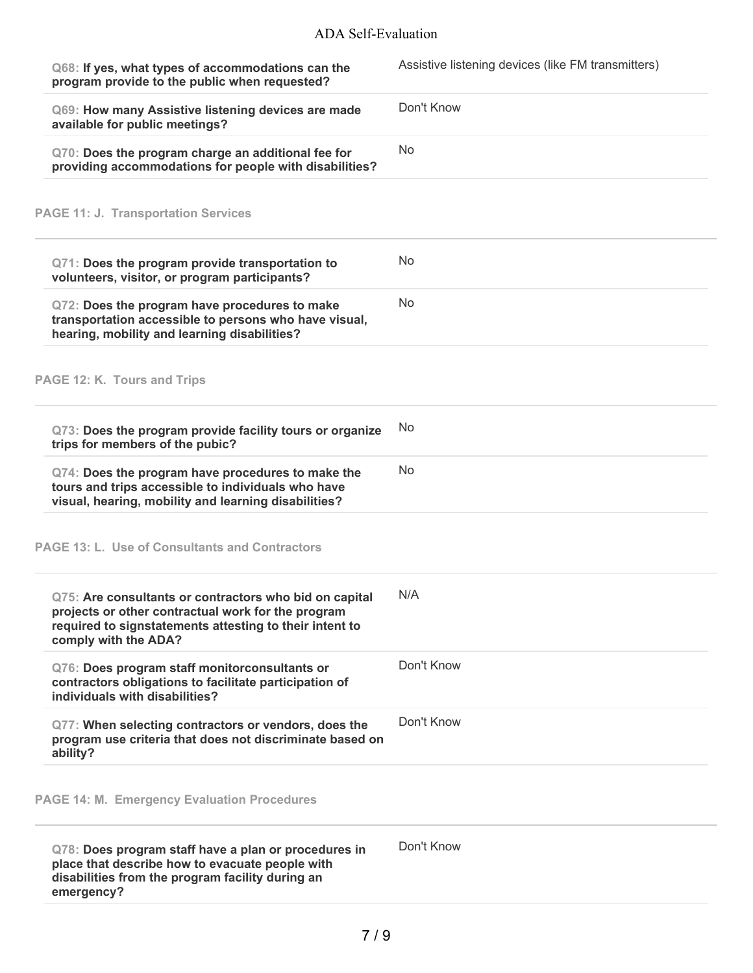| Q68: If yes, what types of accommodations can the<br>program provide to the public when requested?                                                                                              | Assistive listening devices (like FM transmitters) |
|-------------------------------------------------------------------------------------------------------------------------------------------------------------------------------------------------|----------------------------------------------------|
| Q69: How many Assistive listening devices are made<br>available for public meetings?                                                                                                            | Don't Know                                         |
| Q70: Does the program charge an additional fee for<br>providing accommodations for people with disabilities?                                                                                    | <b>No</b>                                          |
| <b>PAGE 11: J. Transportation Services</b>                                                                                                                                                      |                                                    |
| Q71: Does the program provide transportation to<br>volunteers, visitor, or program participants?                                                                                                | <b>No</b>                                          |
| Q72: Does the program have procedures to make<br>transportation accessible to persons who have visual,<br>hearing, mobility and learning disabilities?                                          | No                                                 |
| PAGE 12: K. Tours and Trips                                                                                                                                                                     |                                                    |
| Q73: Does the program provide facility tours or organize<br>trips for members of the pubic?                                                                                                     | No                                                 |
| Q74: Does the program have procedures to make the<br>tours and trips accessible to individuals who have<br>visual, hearing, mobility and learning disabilities?                                 | No                                                 |
| <b>PAGE 13: L. Use of Consultants and Contractors</b>                                                                                                                                           |                                                    |
| Q75: Are consultants or contractors who bid on capital<br>projects or other contractual work for the program<br>required to signstatements attesting to their intent to<br>comply with the ADA? | N/A                                                |
| Q76: Does program staff monitorconsultants or<br>contractors obligations to facilitate participation of<br>individuals with disabilities?                                                       | Don't Know                                         |
| Q77: When selecting contractors or vendors, does the<br>program use criteria that does not discriminate based on<br>ability?                                                                    | Don't Know                                         |
| <b>PAGE 14: M. Emergency Evaluation Procedures</b>                                                                                                                                              |                                                    |
| Q78: Does program staff have a plan or procedures in<br>place that describe how to evacuate people with<br>disabilities from the program facility during an<br>emergency?                       | Don't Know                                         |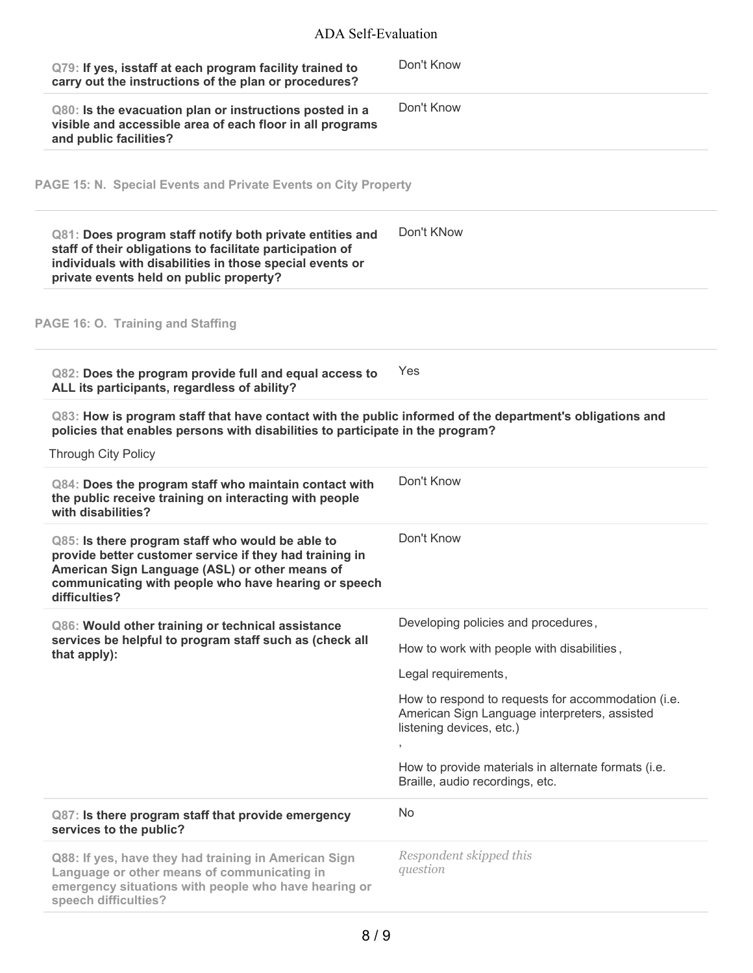## ADA Self-Evaluation

| Q79: If yes, isstaff at each program facility trained to<br>carry out the instructions of the plan or procedures?                                                                                                                      | Don't Know                                                                                                                                                                                 |  |  |
|----------------------------------------------------------------------------------------------------------------------------------------------------------------------------------------------------------------------------------------|--------------------------------------------------------------------------------------------------------------------------------------------------------------------------------------------|--|--|
| Q80: Is the evacuation plan or instructions posted in a<br>visible and accessible area of each floor in all programs<br>and public facilities?                                                                                         | Don't Know                                                                                                                                                                                 |  |  |
| PAGE 15: N. Special Events and Private Events on City Property                                                                                                                                                                         |                                                                                                                                                                                            |  |  |
| Q81: Does program staff notify both private entities and<br>staff of their obligations to facilitate participation of<br>individuals with disabilities in those special events or<br>private events held on public property?           | Don't KNow                                                                                                                                                                                 |  |  |
| PAGE 16: O. Training and Staffing                                                                                                                                                                                                      |                                                                                                                                                                                            |  |  |
| Q82: Does the program provide full and equal access to<br>ALL its participants, regardless of ability?                                                                                                                                 | Yes                                                                                                                                                                                        |  |  |
|                                                                                                                                                                                                                                        | Q83: How is program staff that have contact with the public informed of the department's obligations and<br>policies that enables persons with disabilities to participate in the program? |  |  |
| <b>Through City Policy</b>                                                                                                                                                                                                             |                                                                                                                                                                                            |  |  |
| Q84: Does the program staff who maintain contact with<br>the public receive training on interacting with people<br>with disabilities?                                                                                                  | Don't Know                                                                                                                                                                                 |  |  |
| Q85: Is there program staff who would be able to<br>provide better customer service if they had training in<br>American Sign Language (ASL) or other means of<br>communicating with people who have hearing or speech<br>difficulties? | Don't Know                                                                                                                                                                                 |  |  |
| Q86: Would other training or technical assistance                                                                                                                                                                                      | Developing policies and procedures,                                                                                                                                                        |  |  |
| services be helpful to program staff such as (check all<br>that apply):                                                                                                                                                                | How to work with people with disabilities,                                                                                                                                                 |  |  |
|                                                                                                                                                                                                                                        | Legal requirements,                                                                                                                                                                        |  |  |
|                                                                                                                                                                                                                                        | How to respond to requests for accommodation (i.e.<br>American Sign Language interpreters, assisted<br>listening devices, etc.)                                                            |  |  |
|                                                                                                                                                                                                                                        | How to provide materials in alternate formats (i.e.<br>Braille, audio recordings, etc.                                                                                                     |  |  |
| Q87: Is there program staff that provide emergency<br>services to the public?                                                                                                                                                          | No                                                                                                                                                                                         |  |  |
| Q88: If yes, have they had training in American Sign<br>Language or other means of communicating in<br>emergency situations with people who have hearing or<br>speech difficulties?                                                    | Respondent skipped this<br>question                                                                                                                                                        |  |  |